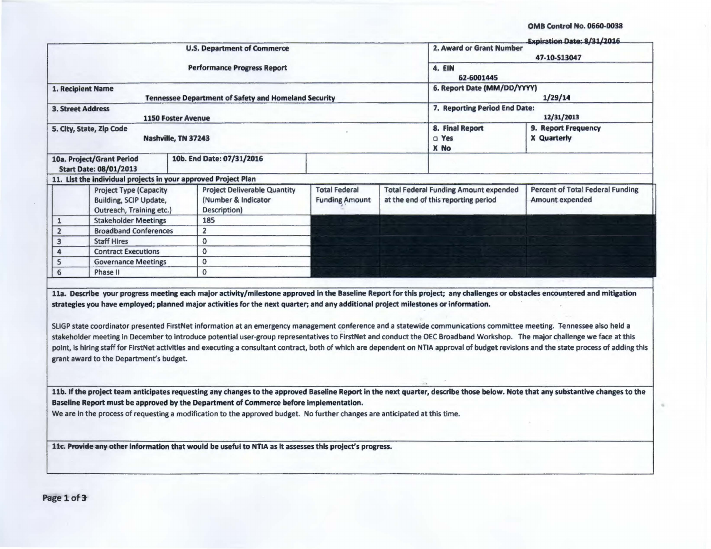OMB Control No. 0660-0038

ä

| 1. Recipient Name<br><b>3. Street Address</b> | 10a. Project/Grant Period<br><b>Start Date: 08/01/2013</b><br>11. List the individual projects in your approved Project Plan | <b>1150 Foster Avenue</b> | <b>U.S. Department of Commerce</b><br><b>Performance Progress Report</b><br><b>Tennessee Department of Safety and Homeland Security</b>                                                                                                                                                                                                                                                                                                                                                                                                                                                                                                                               |                                                 |  | 2. Award or Grant Number<br>4. EIN<br>62-6001445<br>6. Report Date (MM/DD/YYYY)<br>7. Reporting Period End Date: | 47-10-S13047<br>1/29/14                                                                                                                                                                   |  |  |
|-----------------------------------------------|------------------------------------------------------------------------------------------------------------------------------|---------------------------|-----------------------------------------------------------------------------------------------------------------------------------------------------------------------------------------------------------------------------------------------------------------------------------------------------------------------------------------------------------------------------------------------------------------------------------------------------------------------------------------------------------------------------------------------------------------------------------------------------------------------------------------------------------------------|-------------------------------------------------|--|------------------------------------------------------------------------------------------------------------------|-------------------------------------------------------------------------------------------------------------------------------------------------------------------------------------------|--|--|
|                                               |                                                                                                                              |                           |                                                                                                                                                                                                                                                                                                                                                                                                                                                                                                                                                                                                                                                                       |                                                 |  |                                                                                                                  |                                                                                                                                                                                           |  |  |
|                                               |                                                                                                                              |                           |                                                                                                                                                                                                                                                                                                                                                                                                                                                                                                                                                                                                                                                                       |                                                 |  |                                                                                                                  |                                                                                                                                                                                           |  |  |
|                                               |                                                                                                                              |                           |                                                                                                                                                                                                                                                                                                                                                                                                                                                                                                                                                                                                                                                                       |                                                 |  |                                                                                                                  |                                                                                                                                                                                           |  |  |
|                                               |                                                                                                                              |                           |                                                                                                                                                                                                                                                                                                                                                                                                                                                                                                                                                                                                                                                                       |                                                 |  |                                                                                                                  |                                                                                                                                                                                           |  |  |
|                                               |                                                                                                                              |                           |                                                                                                                                                                                                                                                                                                                                                                                                                                                                                                                                                                                                                                                                       |                                                 |  |                                                                                                                  |                                                                                                                                                                                           |  |  |
|                                               |                                                                                                                              |                           |                                                                                                                                                                                                                                                                                                                                                                                                                                                                                                                                                                                                                                                                       |                                                 |  |                                                                                                                  | 12/31/2013                                                                                                                                                                                |  |  |
|                                               |                                                                                                                              |                           |                                                                                                                                                                                                                                                                                                                                                                                                                                                                                                                                                                                                                                                                       | 5. City, State, Zip Code<br>Nashville, TN 37243 |  |                                                                                                                  |                                                                                                                                                                                           |  |  |
|                                               |                                                                                                                              |                           | 10b. End Date: 07/31/2016                                                                                                                                                                                                                                                                                                                                                                                                                                                                                                                                                                                                                                             |                                                 |  | X No                                                                                                             |                                                                                                                                                                                           |  |  |
|                                               |                                                                                                                              |                           |                                                                                                                                                                                                                                                                                                                                                                                                                                                                                                                                                                                                                                                                       |                                                 |  |                                                                                                                  |                                                                                                                                                                                           |  |  |
|                                               | <b>Project Type (Capacity</b><br><b>Building, SCIP Update,</b><br>Outreach, Training etc.)                                   |                           | <b>Project Deliverable Quantity</b><br>(Number & Indicator<br>Description)                                                                                                                                                                                                                                                                                                                                                                                                                                                                                                                                                                                            | <b>Total Federal</b><br><b>Funding Amount</b>   |  | <b>Total Federal Funding Amount expended</b><br>at the end of this reporting period                              | <b>Percent of Total Federal Funding</b><br>Amount expended                                                                                                                                |  |  |
| $\mathbf{1}$                                  | <b>Stakeholder Meetings</b>                                                                                                  |                           | 185                                                                                                                                                                                                                                                                                                                                                                                                                                                                                                                                                                                                                                                                   |                                                 |  |                                                                                                                  |                                                                                                                                                                                           |  |  |
| $\overline{2}$                                | <b>Broadband Conferences</b>                                                                                                 |                           | $\overline{2}$                                                                                                                                                                                                                                                                                                                                                                                                                                                                                                                                                                                                                                                        |                                                 |  |                                                                                                                  |                                                                                                                                                                                           |  |  |
| 3                                             | <b>Staff Hires</b>                                                                                                           |                           | $\mathbf{o}$                                                                                                                                                                                                                                                                                                                                                                                                                                                                                                                                                                                                                                                          |                                                 |  |                                                                                                                  |                                                                                                                                                                                           |  |  |
| 4                                             | <b>Contract Executions</b>                                                                                                   |                           | $\mathbf{0}$                                                                                                                                                                                                                                                                                                                                                                                                                                                                                                                                                                                                                                                          |                                                 |  |                                                                                                                  |                                                                                                                                                                                           |  |  |
| 5                                             | <b>Governance Meetings</b>                                                                                                   |                           | $\mathbf{O}$                                                                                                                                                                                                                                                                                                                                                                                                                                                                                                                                                                                                                                                          |                                                 |  |                                                                                                                  |                                                                                                                                                                                           |  |  |
| 6                                             | Phase II                                                                                                                     |                           | $\mathbf{O}$                                                                                                                                                                                                                                                                                                                                                                                                                                                                                                                                                                                                                                                          |                                                 |  |                                                                                                                  |                                                                                                                                                                                           |  |  |
|                                               | grant award to the Department's budget.                                                                                      |                           | 11a. Describe your progress meeting each major activity/milestone approved in the Baseline Report for this project; any challenges or obstacles encountered and mitigation<br>strategies you have employed; planned major activities for the next quarter; and any additional project milestones or information.<br>SLIGP state coordinator presented FirstNet information at an emergency management conference and a statewide communications committee meeting. Tennessee also held a<br>stakeholder meeting in December to introduce potential user-group representatives to FirstNet and conduct the OEC Broadband Workshop. The major challenge we face at this |                                                 |  |                                                                                                                  | point, is hiring staff for FirstNet activities and executing a consultant contract, both of which are dependent on NTIA approval of budget revisions and the state process of adding this |  |  |
|                                               |                                                                                                                              |                           | Baseline Report must be approved by the Department of Commerce before implementation.<br>We are in the process of requesting a modification to the approved budget. No further changes are anticipated at this time.                                                                                                                                                                                                                                                                                                                                                                                                                                                  |                                                 |  |                                                                                                                  | 11b. If the project team anticipates requesting any changes to the approved Baseline Report in the next quarter, describe those below. Note that any substantive changes to the           |  |  |
|                                               |                                                                                                                              |                           | 11c. Provide any other information that would be useful to NTIA as it assesses this project's progress.                                                                                                                                                                                                                                                                                                                                                                                                                                                                                                                                                               |                                                 |  |                                                                                                                  |                                                                                                                                                                                           |  |  |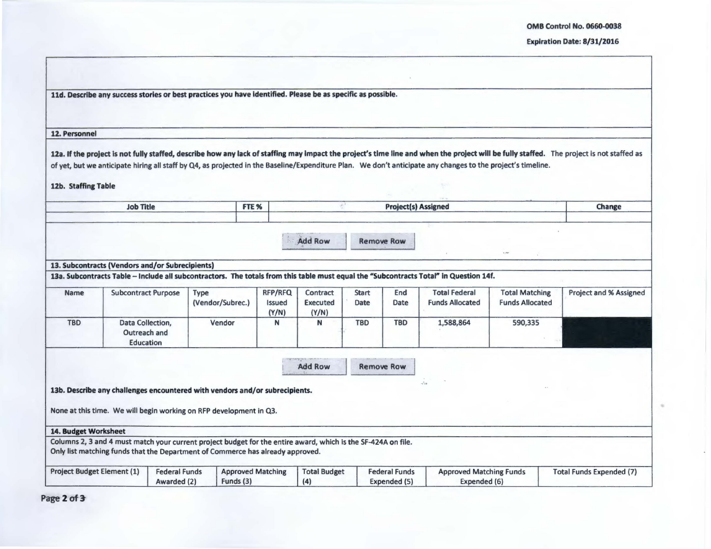OMB Control No. 0660-oG38

## Expiration Date: 8/31/2016

|                                   | 11d. Describe any success stories or best practices you have identified. Please be as specific as possible.                                                                                     |                                     |                          |                          |                                   |                                      |                      |                                      |                                                                                                                                                             |                                                 |                                                                                                                                                                                          |
|-----------------------------------|-------------------------------------------------------------------------------------------------------------------------------------------------------------------------------------------------|-------------------------------------|--------------------------|--------------------------|-----------------------------------|--------------------------------------|----------------------|--------------------------------------|-------------------------------------------------------------------------------------------------------------------------------------------------------------|-------------------------------------------------|------------------------------------------------------------------------------------------------------------------------------------------------------------------------------------------|
| 12. Personnel                     |                                                                                                                                                                                                 |                                     |                          |                          |                                   |                                      |                      |                                      |                                                                                                                                                             |                                                 |                                                                                                                                                                                          |
| 12b. Staffing Table               |                                                                                                                                                                                                 |                                     |                          |                          |                                   |                                      |                      |                                      | of yet, but we anticipate hiring all staff by Q4, as projected in the Baseline/Expenditure Plan. We don't anticipate any changes to the project's timeline. |                                                 | 12a. If the project is not fully staffed, describe how any lack of staffing may impact the project's time line and when the project will be fully staffed. The project is not staffed as |
|                                   | <b>Job Title</b>                                                                                                                                                                                |                                     |                          | FTE <sub>%</sub>         |                                   | øð.                                  |                      | <b>Project(s) Assigned</b>           |                                                                                                                                                             |                                                 | Change                                                                                                                                                                                   |
|                                   |                                                                                                                                                                                                 |                                     |                          |                          |                                   | <b>Add Row</b>                       |                      | <b>Remove Row</b>                    |                                                                                                                                                             | $+20$                                           |                                                                                                                                                                                          |
|                                   | 13. Subcontracts (Vendors and/or Subrecipients)                                                                                                                                                 |                                     |                          |                          |                                   |                                      |                      |                                      | 13a. Subcontracts Table - Include all subcontractors. The totals from this table must equal the "Subcontracts Total" in Question 14f.                       |                                                 |                                                                                                                                                                                          |
| <b>Name</b>                       | <b>Subcontract Purpose</b>                                                                                                                                                                      |                                     | Type<br>(Vendor/Subrec.) |                          | RFP/RFQ<br><b>Issued</b><br>(Y/N) | Contract<br><b>Executed</b><br>(Y/N) | <b>Start</b><br>Date | End<br>Date                          | <b>Total Federal</b><br><b>Funds Allocated</b>                                                                                                              | <b>Total Matching</b><br><b>Funds Allocated</b> | <b>Project and % Assigned</b>                                                                                                                                                            |
| <b>TBD</b>                        | Data Collection,<br>Outreach and<br>Education                                                                                                                                                   |                                     | Vendor                   |                          | N                                 | N                                    | <b>TBD</b>           | <b>TBD</b>                           | 1,588,864                                                                                                                                                   | 590,335                                         |                                                                                                                                                                                          |
|                                   |                                                                                                                                                                                                 |                                     |                          |                          |                                   | <b>Add Row</b>                       |                      | <b>Remove Row</b>                    |                                                                                                                                                             |                                                 |                                                                                                                                                                                          |
|                                   | 13b. Describe any challenges encountered with vendors and/or subrecipients.<br>None at this time. We will begin working on RFP development in Q3.                                               |                                     |                          |                          |                                   |                                      |                      |                                      | $\cdot \stackrel{\tau}{r^*} \hspace{-1.5pt} \tau$                                                                                                           |                                                 |                                                                                                                                                                                          |
| 14. Budget Worksheet              |                                                                                                                                                                                                 |                                     |                          |                          |                                   |                                      |                      |                                      |                                                                                                                                                             |                                                 |                                                                                                                                                                                          |
|                                   | Columns 2, 3 and 4 must match your current project budget for the entire award, which is the SF-424A on file.<br>Only list matching funds that the Department of Commerce has already approved. |                                     |                          |                          |                                   |                                      |                      |                                      |                                                                                                                                                             |                                                 |                                                                                                                                                                                          |
| <b>Project Budget Element (1)</b> |                                                                                                                                                                                                 | <b>Federal Funds</b><br>Awarded (2) | Funds (3)                | <b>Approved Matching</b> |                                   | <b>Total Budget</b><br>(4)           |                      | <b>Federal Funds</b><br>Expended (5) | <b>Approved Matching Funds</b><br>Expended (6)                                                                                                              |                                                 | <b>Total Funds Expended (7)</b>                                                                                                                                                          |